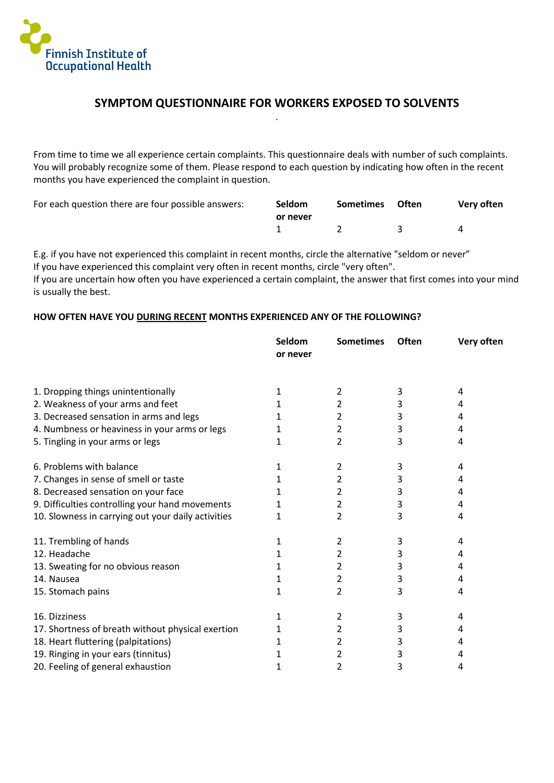

## **SYMPTOM QUESTIONNAIRE FOR WORKERS EXPOSED TO SOLVENTS** .

From time to time we all experience certain complaints. This questionnaire deals with number of such complaints. You will probably recognize some of them. Please respond to each question by indicating how often in the recent months you have experienced the complaint in question.

| For each question there are four possible answers: | <b>Seldom</b> | Sometimes Often | Very often |
|----------------------------------------------------|---------------|-----------------|------------|
|                                                    | or never      |                 |            |
|                                                    |               |                 | 4          |

E.g. if you have not experienced this complaint in recent months, circle the alternative "seldom or never" If you have experienced this complaint very often in recent months, circle "very often".

If you are uncertain how often you have experienced a certain complaint, the answer that first comes into your mind is usually the best.

## **HOW OFTEN HAVE YOU DURING RECENT MONTHS EXPERIENCED ANY OF THE FOLLOWING?**

|                                                    | Seldom<br>or never | <b>Sometimes</b> | <b>Often</b> | Very often |
|----------------------------------------------------|--------------------|------------------|--------------|------------|
|                                                    |                    |                  |              |            |
| 1. Dropping things unintentionally                 | 1                  | 2                | 3            | 4          |
| 2. Weakness of your arms and feet                  | 1                  | 2                | 3            | 4          |
| 3. Decreased sensation in arms and legs            | 1                  | 2                | 3            | 4          |
| 4. Numbness or heaviness in your arms or legs      | 1                  | 2                | 3            | 4          |
| 5. Tingling in your arms or legs                   | 1                  | 2                | 3            | 4          |
| 6. Problems with balance                           | 1                  | 2                | 3            | 4          |
| 7. Changes in sense of smell or taste              | 1                  | 2                | 3            | 4          |
| 8. Decreased sensation on your face                |                    | 2                | 3            | 4          |
| 9. Difficulties controlling your hand movements    | 1                  | 2                | 3            | 4          |
| 10. Slowness in carrying out your daily activities | 1                  | 2                | 3            | 4          |
| 11. Trembling of hands                             | 1                  | 2                | 3            | 4          |
| 12. Headache                                       | 1                  | 2                | 3            | 4          |
| 13. Sweating for no obvious reason                 | 1                  | 2                | 3            | 4          |
| 14. Nausea                                         | 1                  | 2                | 3            | 4          |
| 15. Stomach pains                                  |                    | 2                | 3            | 4          |
| 16. Dizziness                                      | 1                  | 2                | 3            | 4          |
| 17. Shortness of breath without physical exertion  | 1                  | 2                | 3            | 4          |
| 18. Heart fluttering (palpitations)                |                    | 2                | 3            | 4          |
| 19. Ringing in your ears (tinnitus)                |                    | 2                | 3            | 4          |
| 20. Feeling of general exhaustion                  | 1                  | 2                | 3            | 4          |